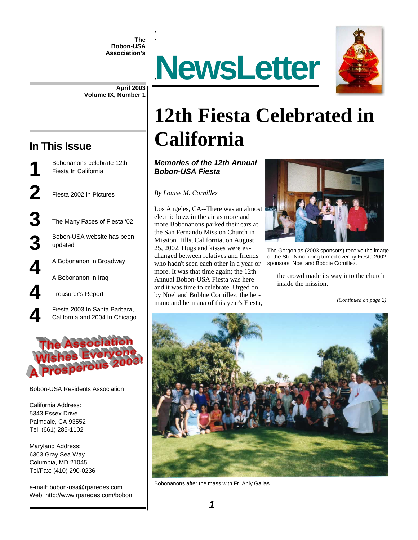**The Bobon-USA Association's** 

. .<br>.





**April 2003 Volume IX, Number 1** 

#### **In This Issue**

**1** Bobonanons celebrate 12th Fiesta In California **2** Fiesta 2002 in Pictures **3** The Many Faces of Fiesta '02 **3** Bobon-USA website has been updated updated A Bobonanon In Broadway A Bobonanon In Iraq **4** Treasurer's Report

Fiesta 2003 In Santa Barbara,<br>California and 2004 In Chicago California and 2004 In Chicago



Bobon-USA Residents Association

California Address: 5343 Essex Drive Palmdale, CA 93552 Tel: (661) 285-1102

Maryland Address: 6363 Gray Sea Way Columbia, MD 21045 Tel/Fax: (410) 290-0236

e-mail: bobon-usa@rparedes.com Web: http://www.rparedes.com/bobon

# **12th Fiesta Celebrated in California**

*Memories of the 12th Annual Bobon-USA Fiesta* 

*By Louise M. Cornillez* 

Los Angeles, CA--There was an almost electric buzz in the air as more and more Bobonanons parked their cars at the San Fernando Mission Church in Mission Hills, California, on August 25, 2002. Hugs and kisses were exchanged between relatives and friends who hadn't seen each other in a year or more. It was that time again; the 12th Annual Bobon-USA Fiesta was here and it was time to celebrate. Urged on by Noel and Bobbie Cornillez, the hermano and hermana of this year's Fiesta,



The Gorgonias (2003 sponsors) receive the image of the Sto. Niño being turned over by Fiesta 2002 sponsors, Noel and Bobbie Cornillez.

the crowd made its way into the church inside the mission.

*(Continued on page 2)* 



Bobonanons after the mass with Fr. Anly Galias.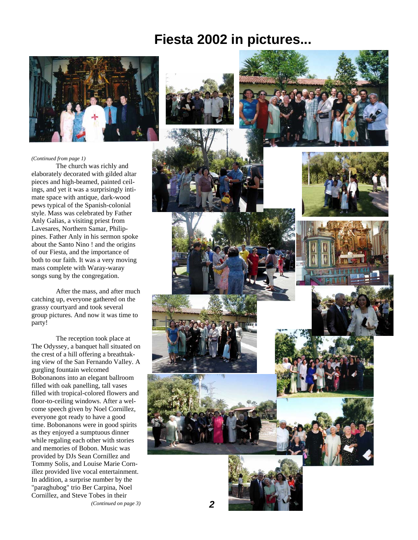### **Fiesta 2002 in pictures...**



#### *(Continued from page 1)*

 The church was richly and elaborately decorated with gilded altar pieces and high-beamed, painted ceilings, and yet it was a surprisingly intimate space with antique, dark-wood pews typical of the Spanish-colonial style. Mass was celebrated by Father Anly Galias, a visiting priest from Lavesares, Northern Samar, Philippines. Father Anly in his sermon spoke about the Santo Nino ! and the origins of our Fiesta, and the importance of both to our faith. It was a very moving mass complete with Waray-waray songs sung by the congregation.

 After the mass, and after much catching up, everyone gathered on the grassy courtyard and took several group pictures. And now it was time to party!

 The reception took place at The Odyssey, a banquet hall situated on the crest of a hill offering a breathtaking view of the San Fernando Valley. A gurgling fountain welcomed Bobonanons into an elegant ballroom filled with oak panelling, tall vases filled with tropical-colored flowers and floor-to-ceiling windows. After a welcome speech given by Noel Cornillez, everyone got ready to have a good time. Bobonanons were in good spirits as they enjoyed a sumptuous dinner while regaling each other with stories and memories of Bobon. Music was provided by DJs Sean Cornillez and Tommy Solis, and Louise Marie Cornillez provided live vocal entertainment. In addition, a surprise number by the "paraghubog" trio Ber Carpina, Noel Cornillez, and Steve Tobes in their *(Continued on page 3)* 

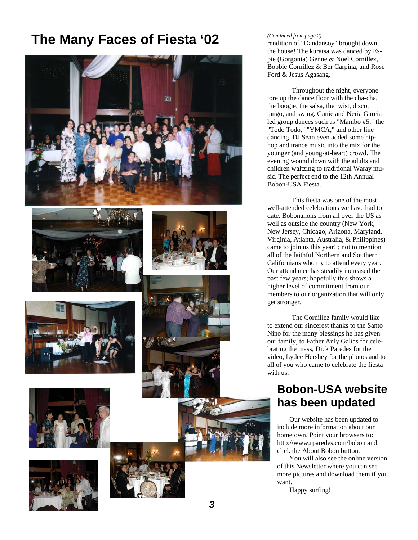## **The Many Faces of Fiesta '02** *Continued from page 2)* rendition of "Dandansoy" brought down















#### *(Continued from page 2)*

the house! The kuratsa was danced by Espie (Gorgonia) Genne & Noel Cornillez, Bobbie Cornillez & Ber Carpina, and Rose Ford & Jesus Agasang.

 Throughout the night, everyone tore up the dance floor with the cha-cha, the boogie, the salsa, the twist, disco, tango, and swing. Ganie and Neria Garcia led group dances such as "Mambo #5," the "Todo Todo," "YMCA," and other line dancing. DJ Sean even added some hiphop and trance music into the mix for the younger (and young-at-heart) crowd. The evening wound down with the adults and children waltzing to traditional Waray music. The perfect end to the 12th Annual Bobon-USA Fiesta.

 This fiesta was one of the most well-attended celebrations we have had to date. Bobonanons from all over the US as well as outside the country (New York, New Jersey, Chicago, Arizona, Maryland, Virginia, Atlanta, Australia, & Philippines) came to join us this year! ; not to mention all of the faithful Northern and Southern Californians who try to attend every year. Our attendance has steadily increased the past few years; hopefully this shows a higher level of commitment from our members to our organization that will only get stronger.

 The Cornillez family would like to extend our sincerest thanks to the Santo Nino for the many blessings he has given our family, to Father Anly Galias for celebrating the mass, Dick Paredes for the video, Lydee Hershey for the photos and to all of you who came to celebrate the fiesta with us.

#### **Bobon-USA website has been updated**

 Our website has been updated to include more information about our hometown. Point your browsers to: http://www.rparedes.com/bobon and click the About Bobon button.

 You will also see the online version of this Newsletter where you can see more pictures and download them if you want.

Happy surfing!